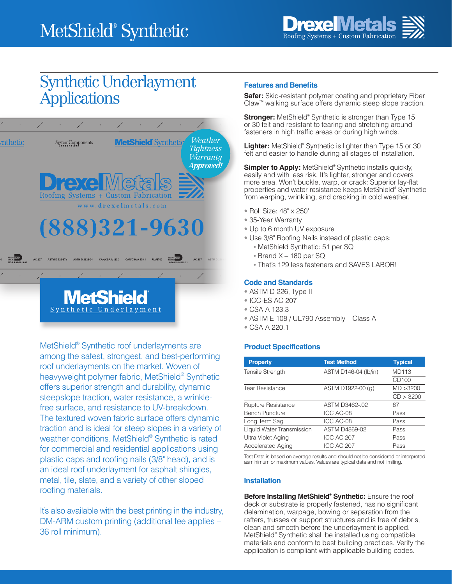

# Synthetic Underlayment **Applications**



MetShield® Synthetic roof underlayments are among the safest, strongest, and best-performing roof underlayments on the market. Woven of heavyweight polymer fabric, MetShield® Synthetic offers superior strength and durability, dynamic steepslope traction, water resistance, a wrinklefree surface, and resistance to UV-breakdown. The textured woven fabric surface offers dynamic traction and is ideal for steep slopes in a variety of weather conditions. MetShield® Synthetic is rated for commercial and residential applications using plastic caps and roofing nails (3/8" head), and is an ideal roof underlayment for asphalt shingles, metal, tile, slate, and a variety of other sloped roofing materials.

It's also available with the best printing in the industry, DM-ARM custom printing (additional fee applies – 36 roll minimum).

# **Features and Benefits**

**Safer:** Skid-resistant polymer coating and proprietary Fiber Claw™ walking surface offers dynamic steep slope traction.

**Stronger:** MetShield**®** Synthetic is stronger than Type 15 or 30 felt and resistant to tearing and stretching around fasteners in high traffic areas or during high winds.

**Lighter:** MetShield**®** Synthetic is lighter than Type 15 or 30 felt and easier to handle during all stages of installation.

**Simpler to Apply:** MetShield® Synthetic installs quickly, easily and with less risk. It's lighter, stronger and covers more area. Won't buckle, warp, or crack: Superior lay-flat properties and water resistance keeps MetShield**®** Synthetic from warping, wrinkling, and cracking in cold weather.

- Roll Size: 48" x 250'
- 35-Year Warranty
- Up to 6 month UV exposure
- Use 3/8" Roofing Nails instead of plastic caps:
	- MetShield Synthetic: 51 per SQ
	- Brand X 180 per SQ
	- That's 129 less fasteners and SAVES LABOR!

#### **Code and Standards**

- ASTM D 226, Type II
- ICC-ES AC 207
- CSA A 123.3
- ASTM E 108 / UL790 Assembly Class A
- CSA A 220.1

#### **Product Specifications**

| <b>Property</b>           | <b>Test Method</b>   | <b>Typical</b>    |
|---------------------------|----------------------|-------------------|
| <b>Tensile Strength</b>   | ASTM D146-04 (lb/in) | <b>MD113</b>      |
|                           |                      | CD <sub>100</sub> |
| <b>Tear Resistance</b>    | ASTM D1922-00 (g)    | MD > 3200         |
|                           |                      | CD > 3200         |
| Rupture Resistance        | ASTM D3462-.02       | 87                |
| <b>Bench Puncture</b>     | ICC AC-08            | Pass              |
| Long Term Sag             | ICC AC-08            | Pass              |
| Liquid Water Transmission | ASTM D4869-02        | Pass              |
| Ultra Violet Aging        | ICC AC 207           | Pass              |
| Accelerated Aging         | ICC AC 207           | Pass              |

Test Data is based on average results and should not be considered or interpreted asminimum or maximum values. Values are typical data and not limiting.

#### **Installation**

**Before Installing MetShield® Synthetic:** Ensure the roof deck or substrate is properly fastened, has no significant delamination, warpage, bowing or separation from the rafters, trusses or support structures and is free of debris, clean and smooth before the underlayment is applied. MetShield**®** Synthetic shall be installed using compatible materials and conform to best building practices. Verify the application is compliant with applicable building codes.